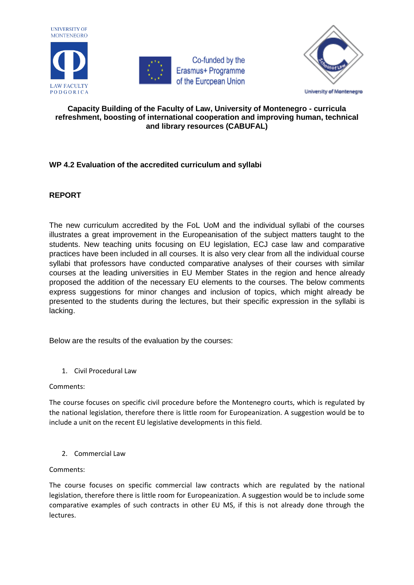





## **Capacity Building of the Faculty of Law, University of Montenegro - curricula refreshment, boosting of international cooperation and improving human, technical and library resources (CABUFAL)**

# **WP 4.2 Evaluation of the accredited curriculum and syllabi**

# **REPORT**

The new curriculum accredited by the FoL UoM and the individual syllabi of the courses illustrates a great improvement in the Europeanisation of the subject matters taught to the students. New teaching units focusing on EU legislation, ECJ case law and comparative practices have been included in all courses. It is also very clear from all the individual course syllabi that professors have conducted comparative analyses of their courses with similar courses at the leading universities in EU Member States in the region and hence already proposed the addition of the necessary EU elements to the courses. The below comments express suggestions for minor changes and inclusion of topics, which might already be presented to the students during the lectures, but their specific expression in the syllabi is lacking.

Below are the results of the evaluation by the courses:

1. Civil Procedural Law

Comments:

The course focuses on specific civil procedure before the Montenegro courts, which is regulated by the national legislation, therefore there is little room for Europeanization. A suggestion would be to include a unit on the recent EU legislative developments in this field.

2. Commercial Law

Comments:

The course focuses on specific commercial law contracts which are regulated by the national legislation, therefore there is little room for Europeanization. A suggestion would be to include some comparative examples of such contracts in other EU MS, if this is not already done through the lectures.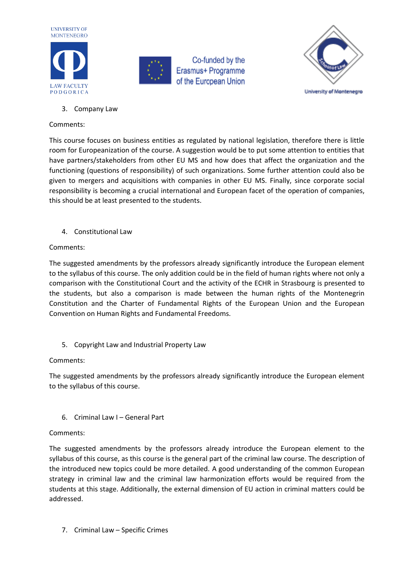



Co-funded by the Erasmus+ Programme of the European Union



3. Company Law

## Comments:

This course focuses on business entities as regulated by national legislation, therefore there is little room for Europeanization of the course. A suggestion would be to put some attention to entities that have partners/stakeholders from other EU MS and how does that affect the organization and the functioning (questions of responsibility) of such organizations. Some further attention could also be given to mergers and acquisitions with companies in other EU MS. Finally, since corporate social responsibility is becoming a crucial international and European facet of the operation of companies, this should be at least presented to the students.

4. Constitutional Law

## Comments:

The suggested amendments by the professors already significantly introduce the European element to the syllabus of this course. The only addition could be in the field of human rights where not only a comparison with the Constitutional Court and the activity of the ECHR in Strasbourg is presented to the students, but also a comparison is made between the human rights of the Montenegrin Constitution and the Charter of Fundamental Rights of the European Union and the European Convention on Human Rights and Fundamental Freedoms.

5. Copyright Law and Industrial Property Law

## Comments:

The suggested amendments by the professors already significantly introduce the European element to the syllabus of this course.

6. Criminal Law I – General Part

## Comments:

The suggested amendments by the professors already introduce the European element to the syllabus of this course, as this course is the general part of the criminal law course. The description of the introduced new topics could be more detailed. A good understanding of the common European strategy in criminal law and the criminal law harmonization efforts would be required from the students at this stage. Additionally, the external dimension of EU action in criminal matters could be addressed.

7. Criminal Law – Specific Crimes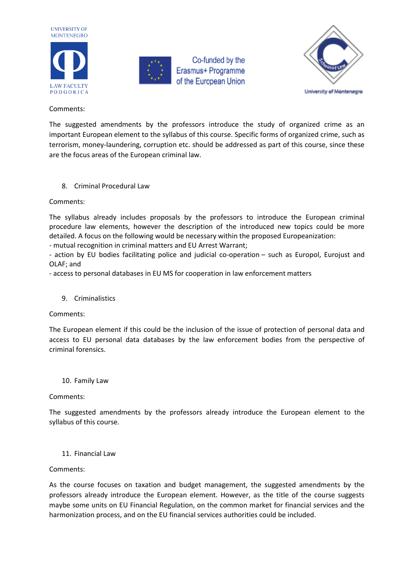



Co-funded by the Erasmus+ Programme of the European Union



#### Comments:

The suggested amendments by the professors introduce the study of organized crime as an important European element to the syllabus of this course. Specific forms of organized crime, such as terrorism, money-laundering, corruption etc. should be addressed as part of this course, since these are the focus areas of the European criminal law.

## 8. Criminal Procedural Law

## Comments:

The syllabus already includes proposals by the professors to introduce the European criminal procedure law elements, however the description of the introduced new topics could be more detailed. A focus on the following would be necessary within the proposed Europeanization:

- mutual recognition in criminal matters and EU Arrest Warrant;

- action by EU bodies facilitating police and judicial co-operation – such as Europol, Eurojust and OLAF; and

- access to personal databases in EU MS for cooperation in law enforcement matters

## 9. Criminalistics

## Comments:

The European element if this could be the inclusion of the issue of protection of personal data and access to EU personal data databases by the law enforcement bodies from the perspective of criminal forensics.

## 10. Family Law

## Comments:

The suggested amendments by the professors already introduce the European element to the syllabus of this course.

## 11. Financial Law

#### Comments:

As the course focuses on taxation and budget management, the suggested amendments by the professors already introduce the European element. However, as the title of the course suggests maybe some units on EU Financial Regulation, on the common market for financial services and the harmonization process, and on the EU financial services authorities could be included.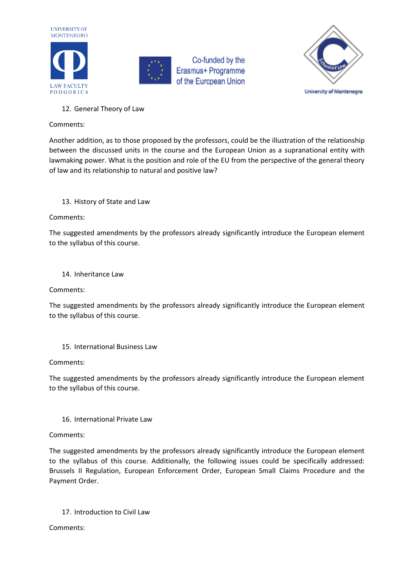





## 12. General Theory of Law

#### Comments:

Another addition, as to those proposed by the professors, could be the illustration of the relationship between the discussed units in the course and the European Union as a supranational entity with lawmaking power. What is the position and role of the EU from the perspective of the general theory of law and its relationship to natural and positive law?

## 13. History of State and Law

## Comments:

The suggested amendments by the professors already significantly introduce the European element to the syllabus of this course.

## 14. Inheritance Law

Comments:

The suggested amendments by the professors already significantly introduce the European element to the syllabus of this course.

15. International Business Law

Comments:

The suggested amendments by the professors already significantly introduce the European element to the syllabus of this course.

## 16. International Private Law

#### Comments:

The suggested amendments by the professors already significantly introduce the European element to the syllabus of this course. Additionally, the following issues could be specifically addressed: Brussels II Regulation, European Enforcement Order, European Small Claims Procedure and the Payment Order.

## 17. Introduction to Civil Law

Comments: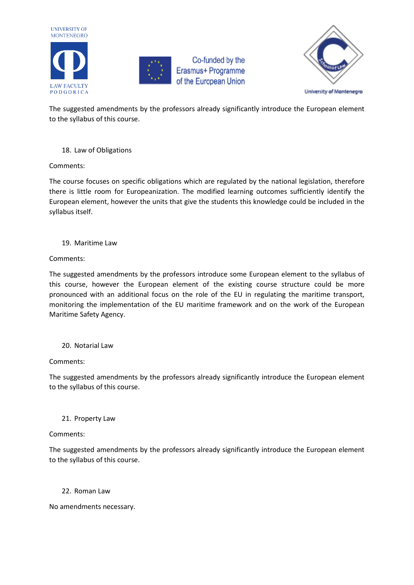





The suggested amendments by the professors already significantly introduce the European element to the syllabus of this course.

18. Law of Obligations

Comments:

The course focuses on specific obligations which are regulated by the national legislation, therefore there is little room for Europeanization. The modified learning outcomes sufficiently identify the European element, however the units that give the students this knowledge could be included in the syllabus itself.

## 19. Maritime Law

## Comments:

The suggested amendments by the professors introduce some European element to the syllabus of this course, however the European element of the existing course structure could be more pronounced with an additional focus on the role of the EU in regulating the maritime transport, monitoring the implementation of the EU maritime framework and on the work of the European Maritime Safety Agency.

## 20. Notarial Law

## Comments:

The suggested amendments by the professors already significantly introduce the European element to the syllabus of this course.

## 21. Property Law

## Comments:

The suggested amendments by the professors already significantly introduce the European element to the syllabus of this course.

## 22. Roman Law

No amendments necessary.